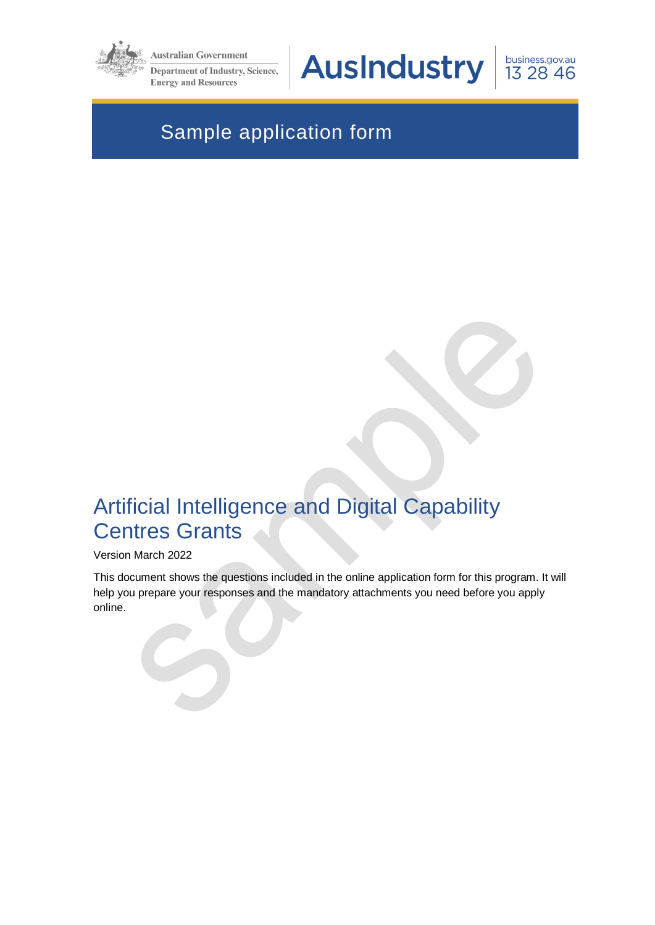

**Australian Government** 

**Department of Industry, Science, Energy and Resources** 

**AusIndustry** 

business.gov.au 13 28 46

# Sample application form

# Artificial Intelligence and Digital Capability Centres Grants

#### Version March 2022

This document shows the questions included in the online application form for this program. It will help you prepare your responses and the mandatory attachments you need before you apply online.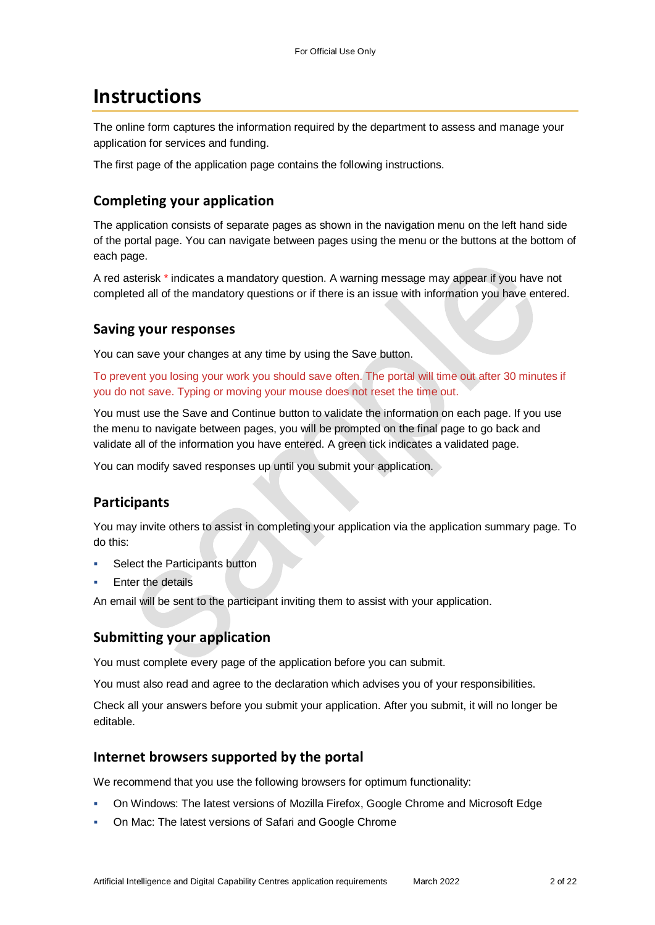## **Instructions**

The online form captures the information required by the department to assess and manage your application for services and funding.

The first page of the application page contains the following instructions.

## **Completing your application**

The application consists of separate pages as shown in the navigation menu on the left hand side of the portal page. You can navigate between pages using the menu or the buttons at the bottom of each page.

A red asterisk \* indicates a mandatory question. A warning message may appear if you have not completed all of the mandatory questions or if there is an issue with information you have entered.

#### **Saving your responses**

You can save your changes at any time by using the Save button.

To prevent you losing your work you should save often. The portal will time out after 30 minutes if you do not save. Typing or moving your mouse does not reset the time out.

You must use the Save and Continue button to validate the information on each page. If you use the menu to navigate between pages, you will be prompted on the final page to go back and validate all of the information you have entered. A green tick indicates a validated page.

You can modify saved responses up until you submit your application.

## **Participants**

You may invite others to assist in completing your application via the application summary page. To do this:

- Select the Participants button
- Enter the details

An email will be sent to the participant inviting them to assist with your application.

#### **Submitting your application**

You must complete every page of the application before you can submit.

You must also read and agree to the declaration which advises you of your responsibilities.

Check all your answers before you submit your application. After you submit, it will no longer be editable.

#### **Internet browsers supported by the portal**

We recommend that you use the following browsers for optimum functionality:

- On Windows: The latest versions of Mozilla Firefox, Google Chrome and Microsoft Edge
- On Mac: The latest versions of Safari and Google Chrome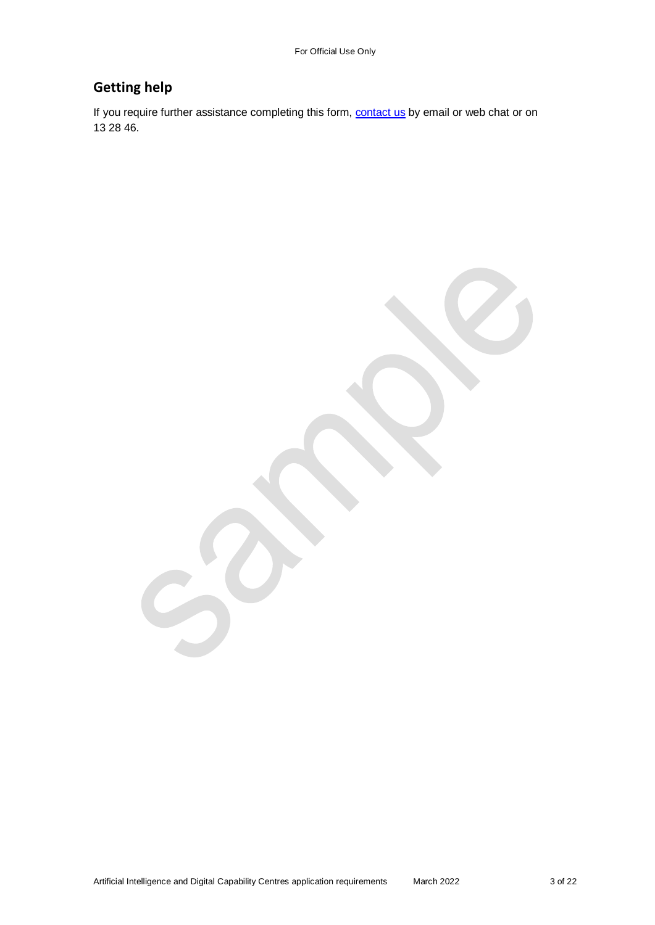## **Getting help**

If you require further assistance completing this form, **contact us** by email or web chat or on 13 28 46.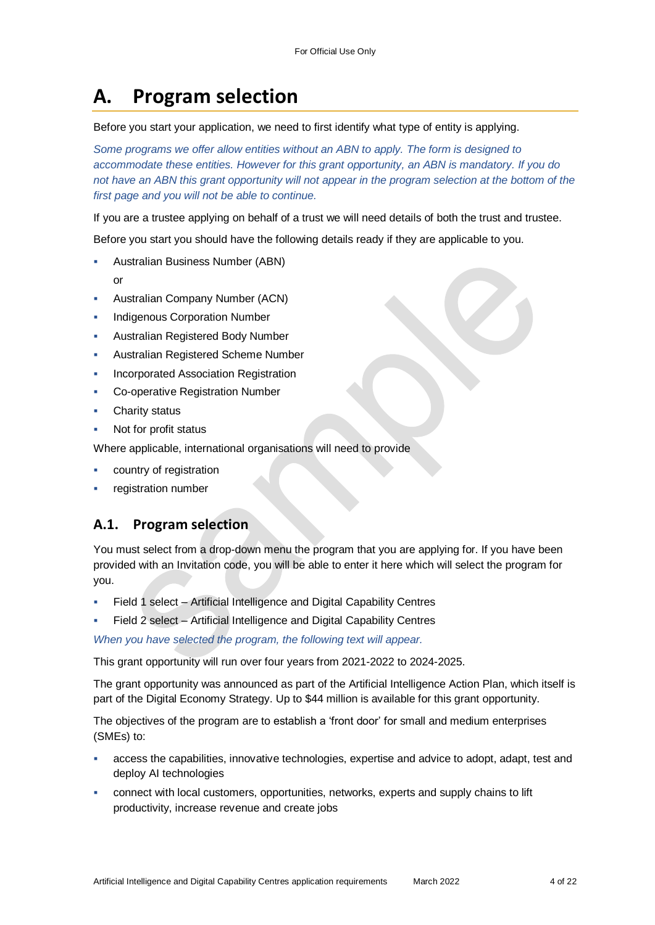# **A. Program selection**

#### Before you start your application, we need to first identify what type of entity is applying.

*Some programs we offer allow entities without an ABN to apply. The form is designed to accommodate these entities. However for this grant opportunity, an ABN is mandatory. If you do*  not have an ABN this grant opportunity will not appear in the program selection at the bottom of the *first page and you will not be able to continue.*

If you are a trustee applying on behalf of a trust we will need details of both the trust and trustee.

Before you start you should have the following details ready if they are applicable to you.

- Australian Business Number (ABN)
	- or
- Australian Company Number (ACN)
- Indigenous Corporation Number
- Australian Registered Body Number
- Australian Registered Scheme Number
- Incorporated Association Registration
- Co-operative Registration Number
- Charity status
- Not for profit status

Where applicable, international organisations will need to provide

- country of registration
- registration number

## **A.1. Program selection**

You must select from a drop-down menu the program that you are applying for. If you have been provided with an Invitation code, you will be able to enter it here which will select the program for you.

- Field 1 select Artificial Intelligence and Digital Capability Centres
- Field 2 select Artificial Intelligence and Digital Capability Centres

*When you have selected the program, the following text will appear.*

This grant opportunity will run over four years from 2021-2022 to 2024-2025.

The grant opportunity was announced as part of the Artificial Intelligence Action Plan, which itself is part of the Digital Economy Strategy. Up to \$44 million is available for this grant opportunity.

The objectives of the program are to establish a 'front door' for small and medium enterprises (SMEs) to:

- access the capabilities, innovative technologies, expertise and advice to adopt, adapt, test and deploy AI technologies
- connect with local customers, opportunities, networks, experts and supply chains to lift productivity, increase revenue and create jobs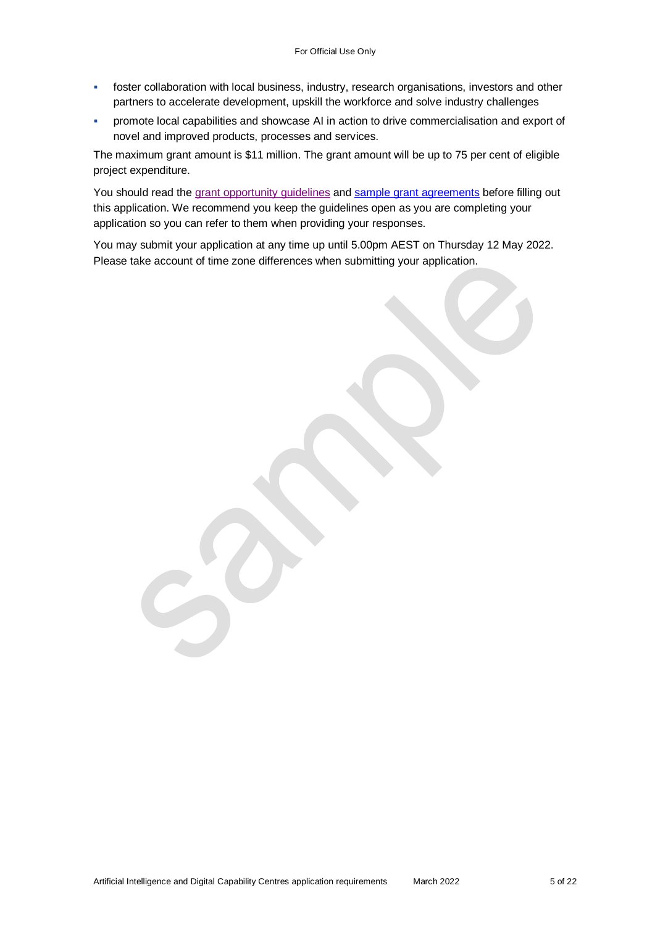- foster collaboration with local business, industry, research organisations, investors and other partners to accelerate development, upskill the workforce and solve industry challenges
- promote local capabilities and showcase AI in action to drive commercialisation and export of novel and improved products, processes and services.

The maximum grant amount is \$11 million. The grant amount will be up to 75 per cent of eligible project expenditure.

You should read the [grant opportunity guidelines](https://business.gov.au/grants-and-programs/ai-digital-capability-centres#key-documents) and [sample grant agreements](https://business.gov.au/grants-and-programs/ai-digital-capability-centres#key-documents) before filling out this application. We recommend you keep the guidelines open as you are completing your application so you can refer to them when providing your responses.

You may submit your application at any time up until 5.00pm AEST on Thursday 12 May 2022. Please take account of time zone differences when submitting your application.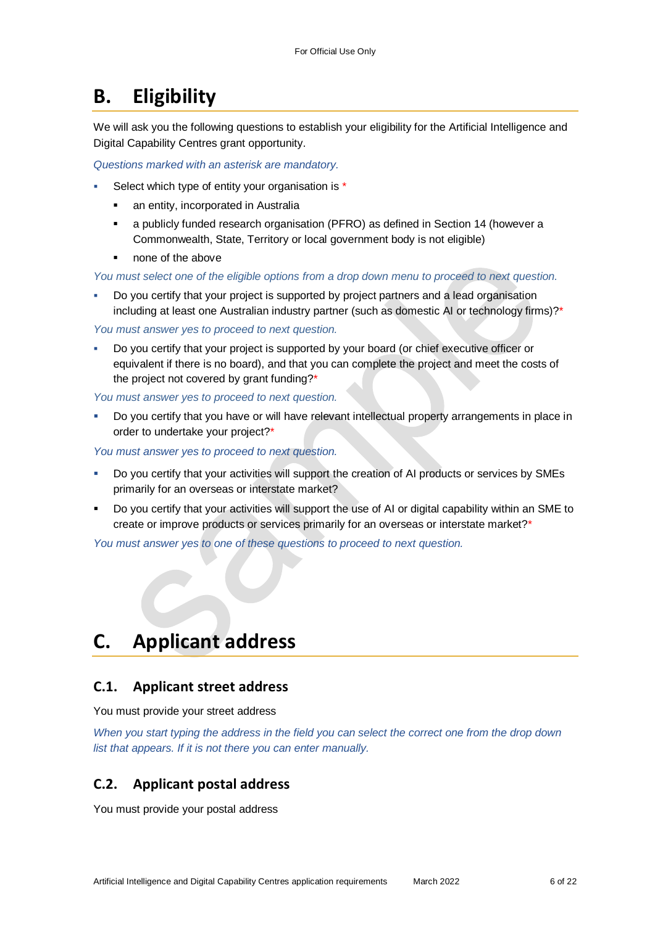# **B. Eligibility**

We will ask you the following questions to establish your eligibility for the Artificial Intelligence and Digital Capability Centres grant opportunity.

*Questions marked with an asterisk are mandatory.* 

- Select which type of entity your organisation is \*
	- an entity, incorporated in Australia
	- a publicly funded research organisation (PFRO) as defined in Section 14 (however a Commonwealth, State, Territory or local government body is not eligible)
	- none of the above

*You must select one of the eligible options from a drop down menu to proceed to next question.*

 Do you certify that your project is supported by project partners and a lead organisation including at least one Australian industry partner (such as domestic AI or technology firms)?\*

*You must answer yes to proceed to next question.*

 Do you certify that your project is supported by your board (or chief executive officer or equivalent if there is no board), and that you can complete the project and meet the costs of the project not covered by grant funding?\*

*You must answer yes to proceed to next question.*

 Do you certify that you have or will have relevant intellectual property arrangements in place in order to undertake your project?\*

*You must answer yes to proceed to next question.*

- Do you certify that your activities will support the creation of AI products or services by SMEs primarily for an overseas or interstate market?
- Do you certify that your activities will support the use of AI or digital capability within an SME to create or improve products or services primarily for an overseas or interstate market?\*

*You must answer yes to one of these questions to proceed to next question.*

# **C. Applicant address**

## **C.1. Applicant street address**

You must provide your street address

*When you start typing the address in the field you can select the correct one from the drop down list that appears. If it is not there you can enter manually.*

## **C.2. Applicant postal address**

You must provide your postal address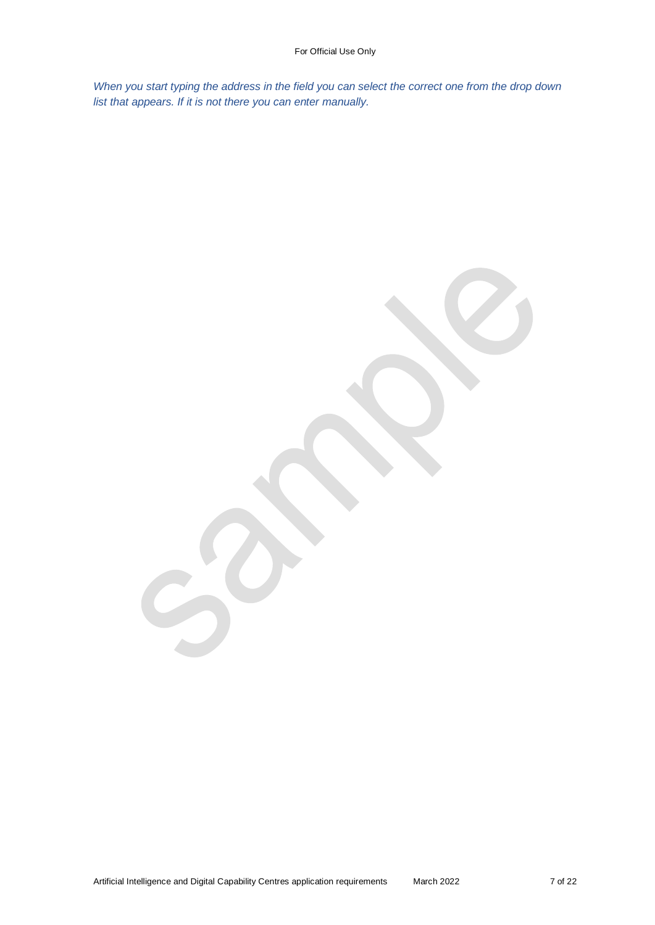*When you start typing the address in the field you can select the correct one from the drop down list that appears. If it is not there you can enter manually.*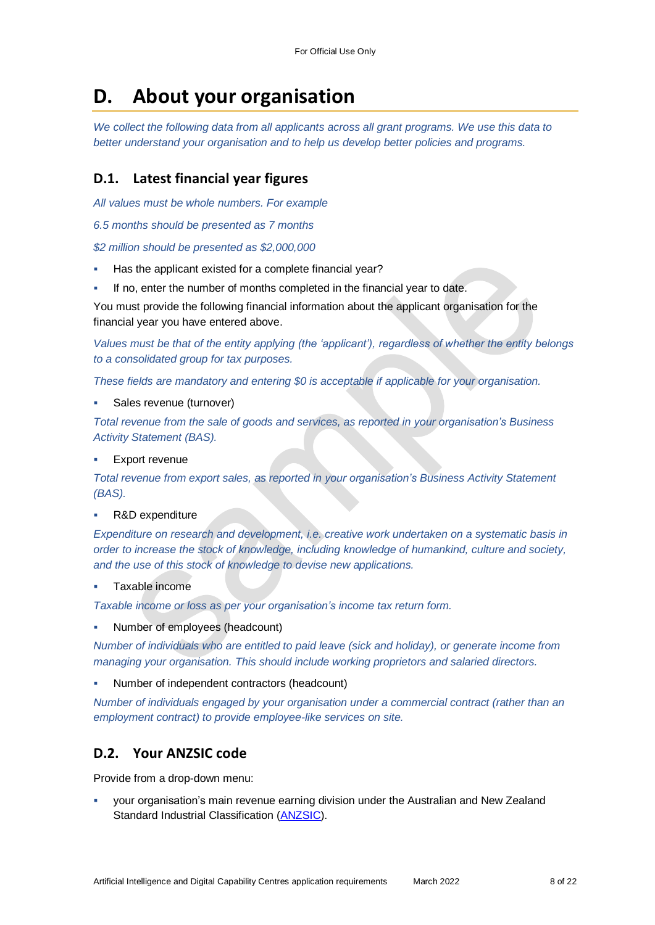# **D. About your organisation**

*We collect the following data from all applicants across all grant programs. We use this data to better understand your organisation and to help us develop better policies and programs.*

## **D.1. Latest financial year figures**

*All values must be whole numbers. For example*

*6.5 months should be presented as 7 months*

*\$2 million should be presented as \$2,000,000*

- Has the applicant existed for a complete financial year?
- If no, enter the number of months completed in the financial year to date.

You must provide the following financial information about the applicant organisation for the financial year you have entered above.

*Values must be that of the entity applying (the 'applicant'), regardless of whether the entity belongs to a consolidated group for tax purposes.*

*These fields are mandatory and entering \$0 is acceptable if applicable for your organisation.*

Sales revenue (turnover)

*Total revenue from the sale of goods and services, as reported in your organisation's Business Activity Statement (BAS).*

Export revenue

*Total revenue from export sales, as reported in your organisation's Business Activity Statement (BAS).*

R&D expenditure

*Expenditure on research and development, i.e. creative work undertaken on a systematic basis in order to increase the stock of knowledge, including knowledge of humankind, culture and society, and the use of this stock of knowledge to devise new applications.*

Taxable income

*Taxable income or loss as per your organisation's income tax return form.*

Number of employees (headcount)

*Number of individuals who are entitled to paid leave (sick and holiday), or generate income from managing your organisation. This should include working proprietors and salaried directors.*

Number of independent contractors (headcount)

*Number of individuals engaged by your organisation under a commercial contract (rather than an employment contract) to provide employee-like services on site.*

## **D.2. Your ANZSIC code**

Provide from a drop-down menu:

 your organisation's main revenue earning division under the Australian and New Zealand Standard Industrial Classification [\(ANZSIC\)](https://www.abs.gov.au/ausstats/abs@.nsf/0/20C5B5A4F46DF95BCA25711F00146D75?opendocument).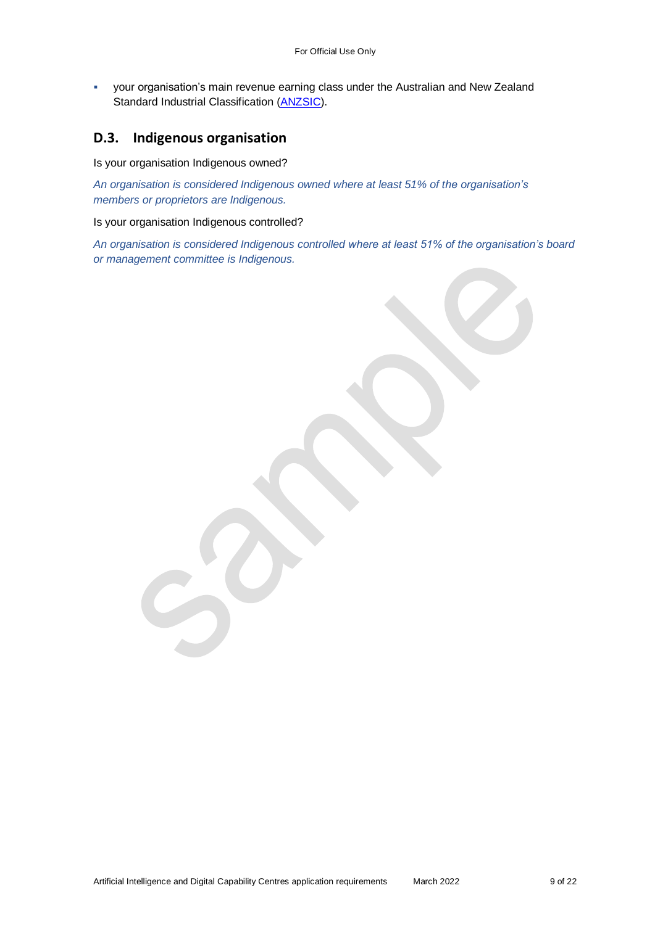your organisation's main revenue earning class under the Australian and New Zealand Standard Industrial Classification [\(ANZSIC\)](https://www.abs.gov.au/ausstats/abs@.nsf/0/20C5B5A4F46DF95BCA25711F00146D75?opendocument).

#### **D.3. Indigenous organisation**

Is your organisation Indigenous owned?

*An organisation is considered Indigenous owned where at least 51% of the organisation's members or proprietors are Indigenous.*

Is your organisation Indigenous controlled?

*An organisation is considered Indigenous controlled where at least 51% of the organisation's board or management committee is Indigenous.*

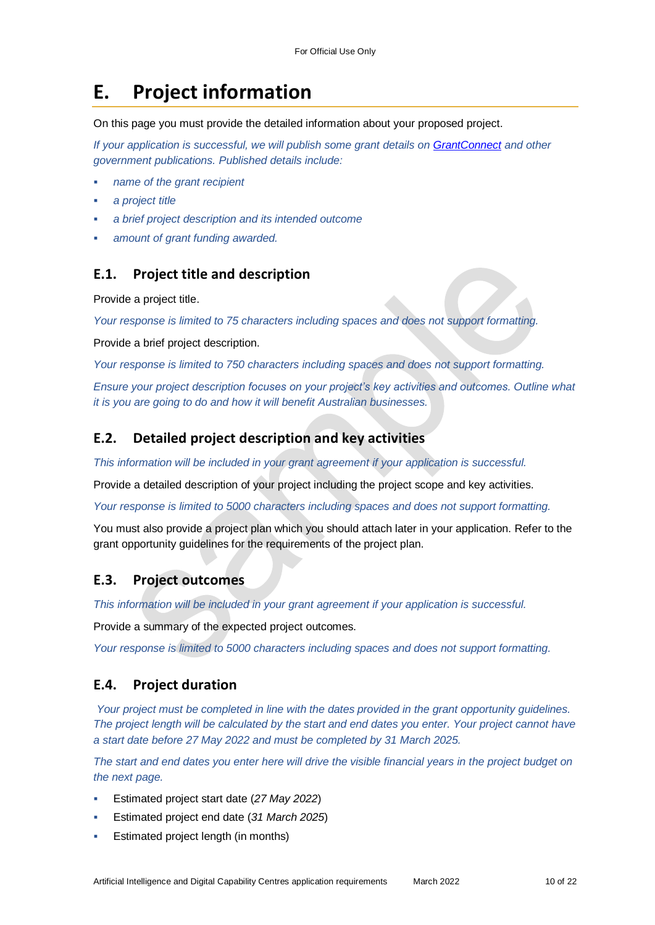# **E. Project information**

On this page you must provide the detailed information about your proposed project.

*If your application is successful, we will publish some grant details on GrantConnect and other government publications. Published details include:*

- *name of the grant recipient*
- *a project title*
- *a brief project description and its intended outcome*
- *amount of grant funding awarded.*

#### **E.1. Project title and description**

Provide a project title.

*Your response is limited to 75 characters including spaces and does not support formatting.* 

Provide a brief project description.

*Your response is limited to 750 characters including spaces and does not support formatting.* 

*Ensure your project description focuses on your project's key activities and outcomes. Outline what it is you are going to do and how it will benefit Australian businesses.*

#### **E.2. Detailed project description and key activities**

*This information will be included in your grant agreement if your application is successful.*

Provide a detailed description of your project including the project scope and key activities.

*Your response is limited to 5000 characters including spaces and does not support formatting.* 

You must also provide a project plan which you should attach later in your application. Refer to the grant opportunity guidelines for the requirements of the project plan.

#### **E.3. Project outcomes**

*This information will be included in your grant agreement if your application is successful.*

Provide a summary of the expected project outcomes.

*Your response is limited to 5000 characters including spaces and does not support formatting.*

## **E.4. Project duration**

*Your project must be completed in line with the dates provided in the grant opportunity guidelines. The project length will be calculated by the start and end dates you enter. Your project cannot have a start date before 27 May 2022 and must be completed by 31 March 2025.*

*The start and end dates you enter here will drive the visible financial years in the project budget on the next page.*

- Estimated project start date (*27 May 2022*)
- Estimated project end date (*31 March 2025*)
- Estimated project length (in months)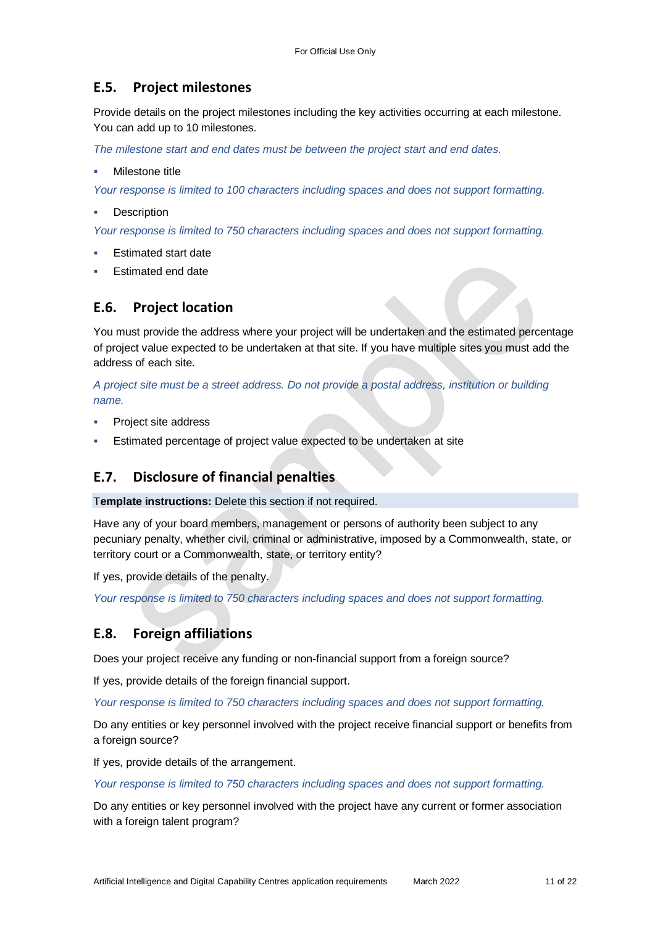## **E.5. Project milestones**

Provide details on the project milestones including the key activities occurring at each milestone. You can add up to 10 milestones.

*The milestone start and end dates must be between the project start and end dates.* 

Milestone title

*Your response is limited to 100 characters including spaces and does not support formatting.*

**Description** 

*Your response is limited to 750 characters including spaces and does not support formatting.*

- Estimated start date
- Estimated end date

#### **E.6. Project location**

You must provide the address where your project will be undertaken and the estimated percentage of project value expected to be undertaken at that site. If you have multiple sites you must add the address of each site.

*A project site must be a street address. Do not provide a postal address, institution or building name.* 

- Project site address
- Estimated percentage of project value expected to be undertaken at site

## **E.7. Disclosure of financial penalties**

T**emplate instructions:** Delete this section if not required.

Have any of your board members, management or persons of authority been subject to any pecuniary penalty, whether civil, criminal or administrative, imposed by a Commonwealth, state, or territory court or a Commonwealth, state, or territory entity?

If yes, provide details of the penalty.

*Your response is limited to 750 characters including spaces and does not support formatting.*

## **E.8. Foreign affiliations**

Does your project receive any funding or non-financial support from a foreign source?

If yes, provide details of the foreign financial support.

*Your response is limited to 750 characters including spaces and does not support formatting.*

Do any entities or key personnel involved with the project receive financial support or benefits from a foreign source?

If yes, provide details of the arrangement.

*Your response is limited to 750 characters including spaces and does not support formatting.*

Do any entities or key personnel involved with the project have any current or former association with a foreign talent program?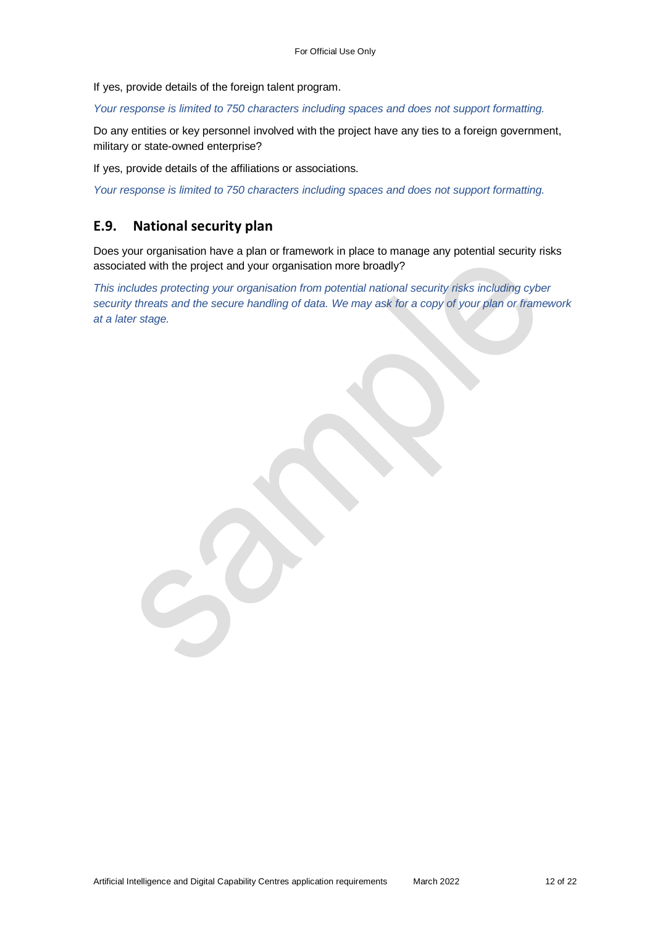If yes, provide details of the foreign talent program.

*Your response is limited to 750 characters including spaces and does not support formatting.*

Do any entities or key personnel involved with the project have any ties to a foreign government, military or state-owned enterprise?

If yes, provide details of the affiliations or associations.

*Your response is limited to 750 characters including spaces and does not support formatting.*

#### **E.9. National security plan**

Does your organisation have a plan or framework in place to manage any potential security risks associated with the project and your organisation more broadly?

*This includes protecting your organisation from potential national security risks including cyber security threats and the secure handling of data. We may ask for a copy of your plan or framework at a later stage.*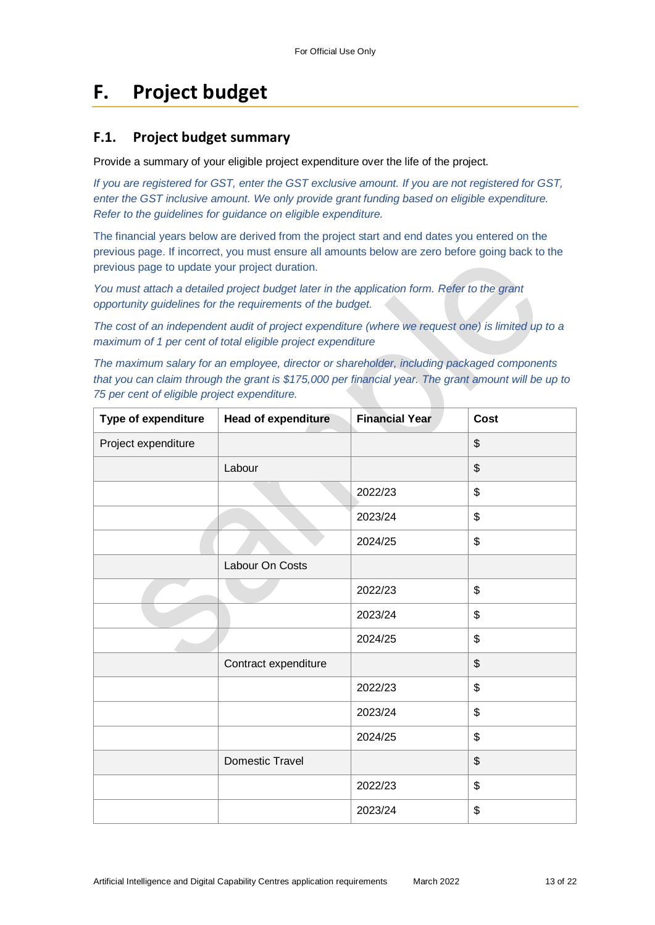# **F. Project budget**

### **F.1. Project budget summary**

Provide a summary of your eligible project expenditure over the life of the project.

*If you are registered for GST, enter the GST exclusive amount. If you are not registered for GST, enter the GST inclusive amount. We only provide grant funding based on eligible expenditure. Refer to the guidelines for guidance on eligible expenditure.*

The financial years below are derived from the project start and end dates you entered on the previous page. If incorrect, you must ensure all amounts below are zero before going back to the previous page to update your project duration.

*You must attach a detailed project budget later in the application form. Refer to the grant opportunity guidelines for the requirements of the budget.*

*The cost of an independent audit of project expenditure (where we request one) is limited up to a maximum of 1 per cent of total eligible project expenditure*

*The maximum salary for an employee, director or shareholder, including packaged components that you can claim through the grant is \$175,000 per financial year. The grant amount will be up to 75 per cent of eligible project expenditure.*

| Type of expenditure | <b>Head of expenditure</b> | <b>Financial Year</b> | <b>Cost</b>               |
|---------------------|----------------------------|-----------------------|---------------------------|
| Project expenditure |                            |                       | \$                        |
|                     | Labour                     |                       | $\boldsymbol{\mathsf{S}}$ |
|                     |                            | 2022/23               | \$                        |
|                     |                            | 2023/24               | \$                        |
|                     |                            | 2024/25               | \$                        |
|                     | Labour On Costs            |                       |                           |
|                     |                            | 2022/23               | \$                        |
|                     |                            | 2023/24               | \$                        |
|                     |                            | 2024/25               | \$                        |
|                     | Contract expenditure       |                       | \$                        |
|                     |                            | 2022/23               | \$                        |
|                     |                            | 2023/24               | \$                        |
|                     |                            | 2024/25               | \$                        |
|                     | Domestic Travel            |                       | \$                        |
|                     |                            | 2022/23               | \$                        |
|                     |                            | 2023/24               | \$                        |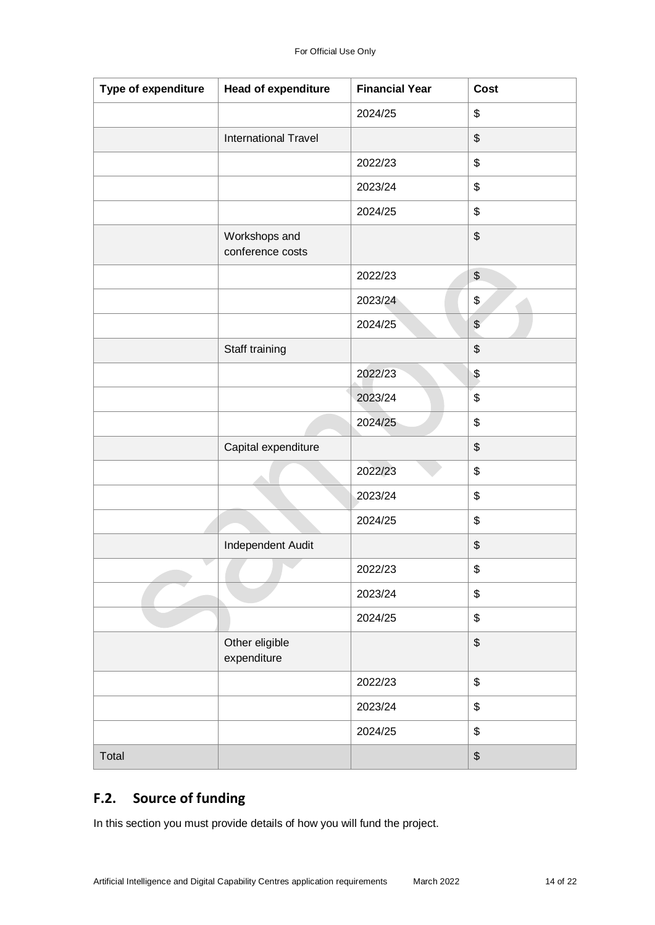| Type of expenditure | Head of expenditure               | <b>Financial Year</b> | <b>Cost</b>    |
|---------------------|-----------------------------------|-----------------------|----------------|
|                     |                                   | 2024/25               | \$             |
|                     | <b>International Travel</b>       |                       | \$             |
|                     |                                   | 2022/23               | \$             |
|                     |                                   | 2023/24               | \$             |
|                     |                                   | 2024/25               | \$             |
|                     | Workshops and<br>conference costs |                       | \$             |
|                     |                                   | 2022/23               | \$             |
|                     |                                   | 2023/24               | \$             |
|                     |                                   | 2024/25               | $\frac{1}{2}$  |
|                     | Staff training                    |                       | \$             |
|                     |                                   | 2022/23               | $\pmb{\$}$     |
|                     |                                   | 2023/24               | \$             |
|                     |                                   | 2024/25               | \$             |
|                     | Capital expenditure               |                       | \$             |
|                     |                                   | 2022/23               | \$             |
|                     |                                   | 2023/24               | \$             |
|                     |                                   | 2024/25               | \$             |
|                     | Independent Audit                 |                       | \$             |
|                     |                                   | 2022/23               | \$             |
|                     |                                   | 2023/24               | \$             |
|                     |                                   | 2024/25               | \$             |
|                     | Other eligible<br>expenditure     |                       | \$             |
|                     |                                   | 2022/23               | \$             |
|                     |                                   | 2023/24               | \$             |
|                     |                                   | 2024/25               | \$             |
| Total               |                                   |                       | $$\mathbb{S}$$ |

## **F.2. Source of funding**

In this section you must provide details of how you will fund the project.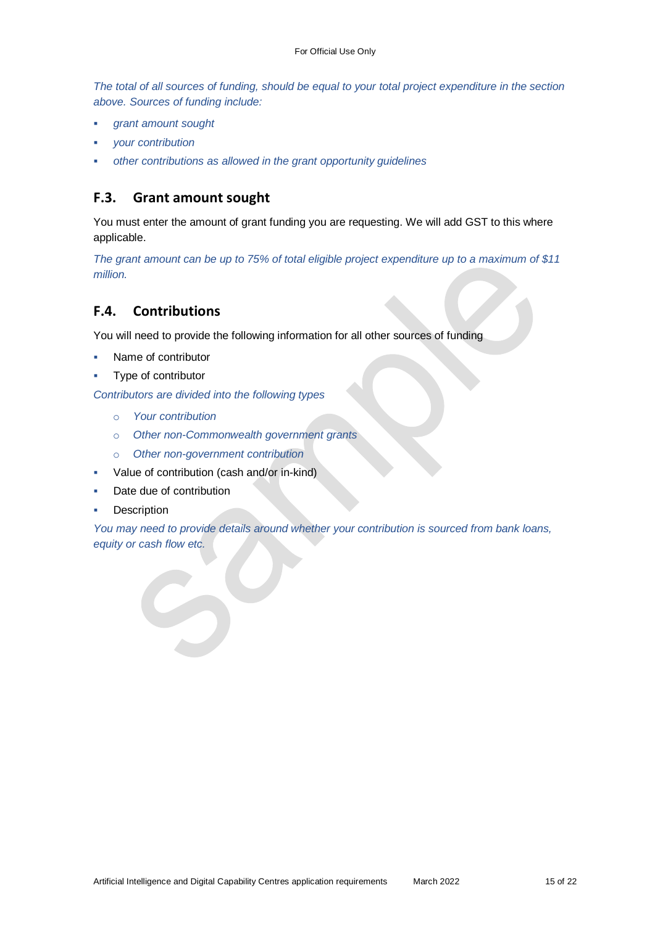*The total of all sources of funding, should be equal to your total project expenditure in the section above. Sources of funding include:*

- *grant amount sought*
- *your contribution*
- *other contributions as allowed in the grant opportunity guidelines*

#### **F.3. Grant amount sought**

You must enter the amount of grant funding you are requesting. We will add GST to this where applicable.

*The grant amount can be up to 75% of total eligible project expenditure up to a maximum of \$11 million.*

#### **F.4. Contributions**

You will need to provide the following information for all other sources of funding

- Name of contributor
- Type of contributor

*Contributors are divided into the following types*

- o *Your contribution*
- o *Other non-Commonwealth government grants*
- o *Other non-government contribution*
- Value of contribution (cash and/or in-kind)
- Date due of contribution
- **Description**

*You may need to provide details around whether your contribution is sourced from bank loans, equity or cash flow etc.*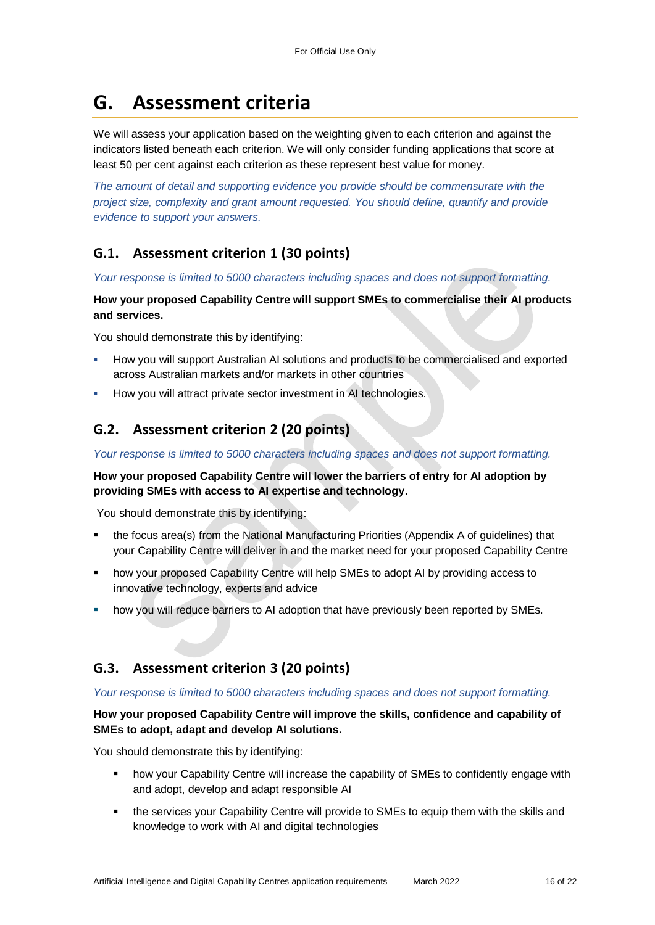# **G. Assessment criteria**

We will assess your application based on the weighting given to each criterion and against the indicators listed beneath each criterion. We will only consider funding applications that score at least 50 per cent against each criterion as these represent best value for money.

*The amount of detail and supporting evidence you provide should be commensurate with the project size, complexity and grant amount requested. You should define, quantify and provide evidence to support your answers.*

## **G.1. Assessment criterion 1 (30 points)**

*Your response is limited to 5000 characters including spaces and does not support formatting.* 

**How your proposed Capability Centre will support SMEs to commercialise their AI products and services.**

You should demonstrate this by identifying:

- How you will support Australian AI solutions and products to be commercialised and exported across Australian markets and/or markets in other countries
- How you will attract private sector investment in AI technologies.

## **G.2. Assessment criterion 2 (20 points)**

*Your response is limited to 5000 characters including spaces and does not support formatting.* 

#### **How your proposed Capability Centre will lower the barriers of entry for AI adoption by providing SMEs with access to AI expertise and technology.**

You should demonstrate this by identifying:

- the focus area(s) from the National Manufacturing Priorities (Appendix A of guidelines) that your Capability Centre will deliver in and the market need for your proposed Capability Centre
- how your proposed Capability Centre will help SMEs to adopt AI by providing access to innovative technology, experts and advice
- how you will reduce barriers to AI adoption that have previously been reported by SMEs.

## **G.3. Assessment criterion 3 (20 points)**

#### *Your response is limited to 5000 characters including spaces and does not support formatting.*

#### **How your proposed Capability Centre will improve the skills, confidence and capability of SMEs to adopt, adapt and develop AI solutions.**

You should demonstrate this by identifying:

- how your Capability Centre will increase the capability of SMEs to confidently engage with and adopt, develop and adapt responsible AI
- the services your Capability Centre will provide to SMEs to equip them with the skills and knowledge to work with AI and digital technologies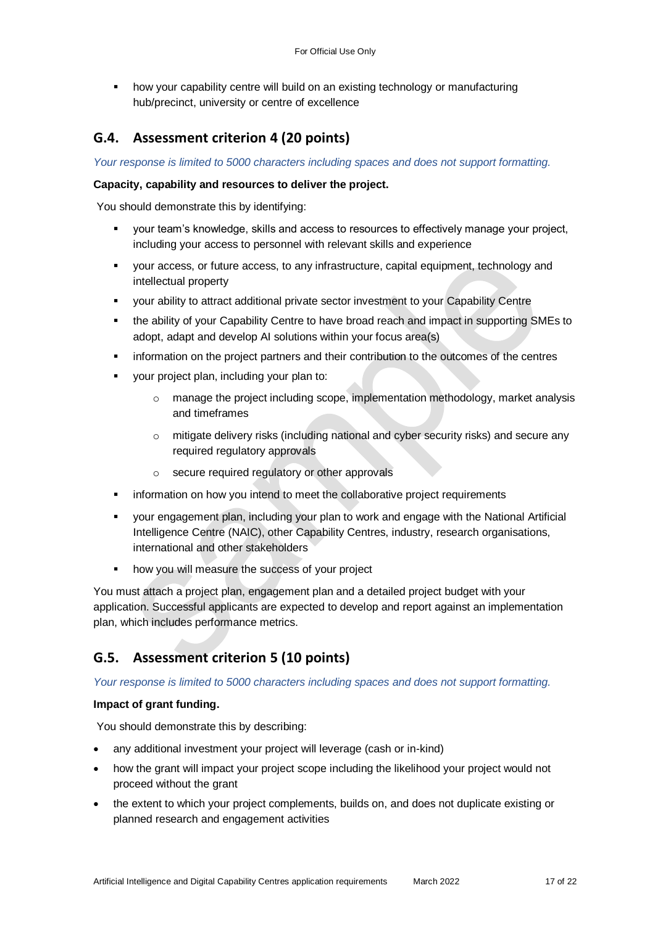how your capability centre will build on an existing technology or manufacturing hub/precinct, university or centre of excellence

## **G.4. Assessment criterion 4 (20 points)**

*Your response is limited to 5000 characters including spaces and does not support formatting.* 

#### **Capacity, capability and resources to deliver the project.**

You should demonstrate this by identifying:

- your team's knowledge, skills and access to resources to effectively manage your project, including your access to personnel with relevant skills and experience
- your access, or future access, to any infrastructure, capital equipment, technology and intellectual property
- your ability to attract additional private sector investment to your Capability Centre
- the ability of your Capability Centre to have broad reach and impact in supporting SMEs to adopt, adapt and develop AI solutions within your focus area(s)
- information on the project partners and their contribution to the outcomes of the centres
- your project plan, including your plan to:
	- $\circ$  manage the project including scope, implementation methodology, market analysis and timeframes
	- $\circ$  mitigate delivery risks (including national and cyber security risks) and secure any required regulatory approvals
	- o secure required regulatory or other approvals
- information on how you intend to meet the collaborative project requirements
- your engagement plan, including your plan to work and engage with the National Artificial Intelligence Centre (NAIC), other Capability Centres, industry, research organisations, international and other stakeholders
- **how you will measure the success of your project**

You must attach a project plan, engagement plan and a detailed project budget with your application. Successful applicants are expected to develop and report against an implementation plan, which includes performance metrics.

## **G.5. Assessment criterion 5 (10 points)**

*Your response is limited to 5000 characters including spaces and does not support formatting.* 

#### **Impact of grant funding.**

You should demonstrate this by describing:

- any additional investment your project will leverage (cash or in-kind)
- how the grant will impact your project scope including the likelihood your project would not proceed without the grant
- the extent to which your project complements, builds on, and does not duplicate existing or planned research and engagement activities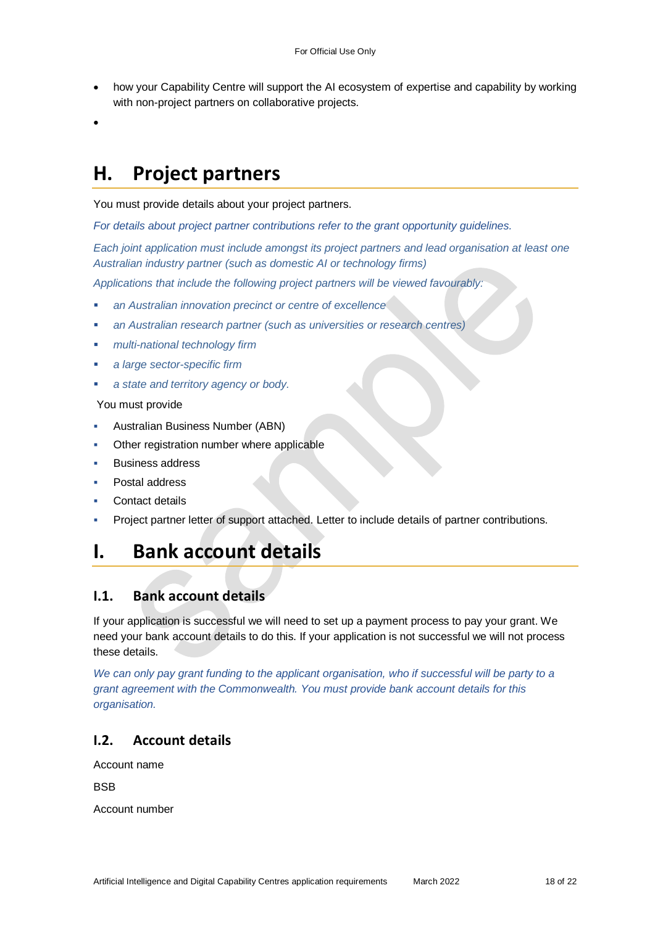- how your Capability Centre will support the AI ecosystem of expertise and capability by working with non-project partners on collaborative projects.
- $\bullet$

# **H. Project partners**

You must provide details about your project partners.

*For details about project partner contributions refer to the grant opportunity guidelines.*

*Each joint application must include amongst its project partners and lead organisation at least one Australian industry partner (such as domestic AI or technology firms)* 

*Applications that include the following project partners will be viewed favourably:* 

- *an Australian innovation precinct or centre of excellence*
- *an Australian research partner (such as universities or research centres)*
- *multi-national technology firm*
- *a large sector-specific firm*
- *a state and territory agency or body.*

You must provide

- Australian Business Number (ABN)
- Other registration number where applicable
- Business address
- Postal address
- Contact details
- Project partner letter of support attached. Letter to include details of partner contributions.

## **I. Bank account details**

#### **I.1. Bank account details**

If your application is successful we will need to set up a payment process to pay your grant. We need your bank account details to do this. If your application is not successful we will not process these details.

We can only pay grant funding to the applicant organisation, who if successful will be party to a *grant agreement with the Commonwealth. You must provide bank account details for this organisation.*

## **I.2. Account details**

Account name

BSB

Account number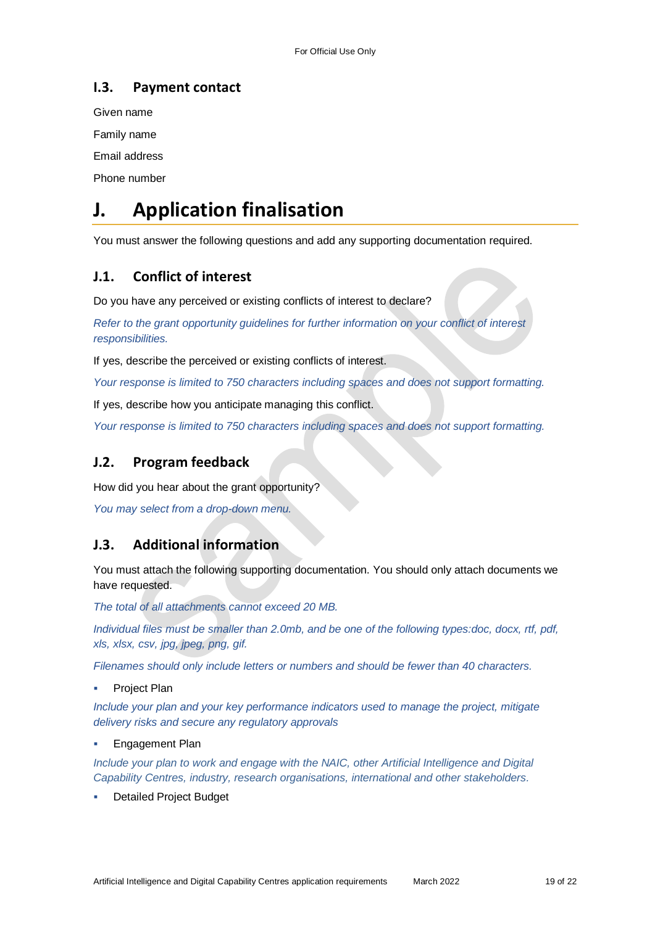## **I.3. Payment contact**

Given name

Family name

Email address

Phone number

# **J. Application finalisation**

You must answer the following questions and add any supporting documentation required.

## **J.1. Conflict of interest**

Do you have any perceived or existing conflicts of interest to declare?

*Refer to the grant opportunity guidelines for further information on your conflict of interest responsibilities.*

If yes, describe the perceived or existing conflicts of interest.

*Your response is limited to 750 characters including spaces and does not support formatting.*

If yes, describe how you anticipate managing this conflict.

*Your response is limited to 750 characters including spaces and does not support formatting.*

## **J.2. Program feedback**

How did you hear about the grant opportunity?

*You may select from a drop-down menu.* 

## **J.3. Additional information**

You must attach the following supporting documentation. You should only attach documents we have requested.

*The total of all attachments cannot exceed 20 MB.* 

*Individual files must be smaller than 2.0mb, and be one of the following types:doc, docx, rtf, pdf, xls, xlsx, csv, jpg, jpeg, png, gif.*

*Filenames should only include letters or numbers and should be fewer than 40 characters.* 

Project Plan

*Include your plan and your key performance indicators used to manage the project, mitigate delivery risks and secure any regulatory approvals*

Engagement Plan

*Include your plan to work and engage with the NAIC, other Artificial Intelligence and Digital Capability Centres, industry, research organisations, international and other stakeholders.*

Detailed Project Budget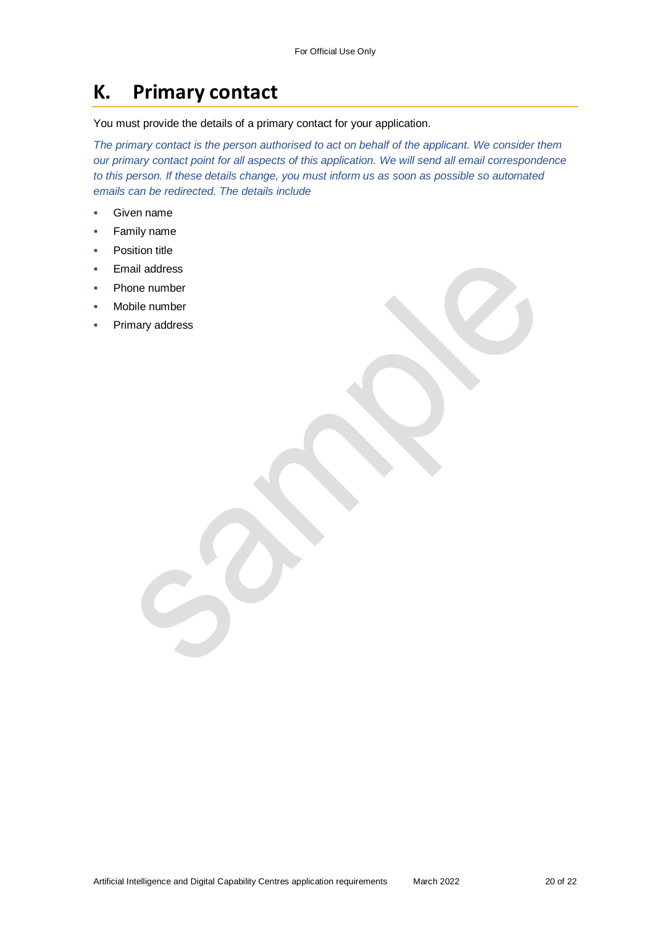## **K. Primary contact**

You must provide the details of a primary contact for your application.

*The primary contact is the person authorised to act on behalf of the applicant. We consider them our primary contact point for all aspects of this application. We will send all email correspondence to this person. If these details change, you must inform us as soon as possible so automated emails can be redirected. The details include*

- Given name
- **Family name**
- Position title
- Email address
- Phone number
- Mobile number
- Primary address

Artificial Intelligence and Digital Capability Centres application requirements March 2022 20 0f 22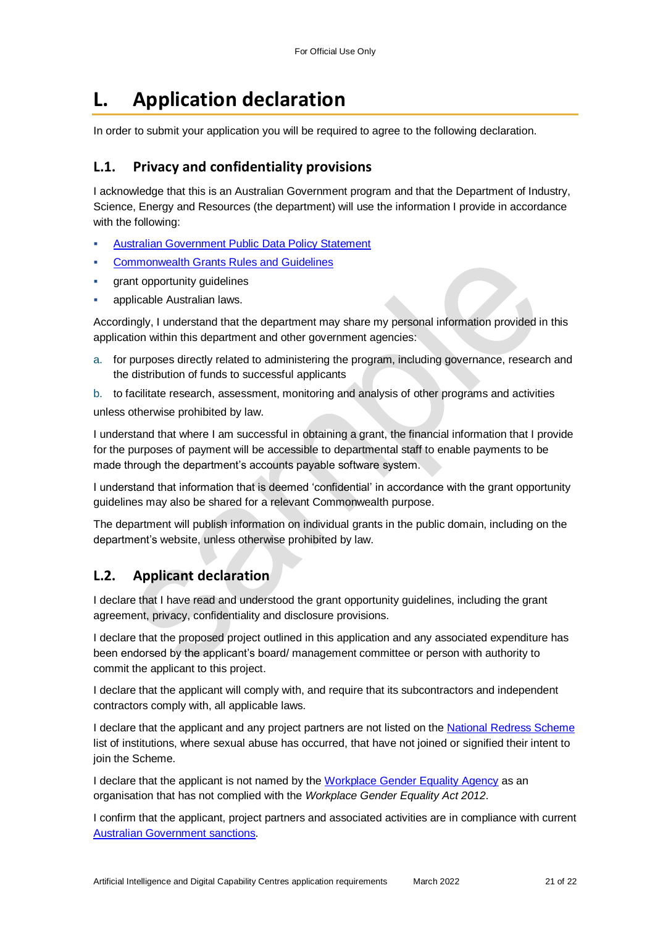# **L. Application declaration**

In order to submit your application you will be required to agree to the following declaration.

### **L.1. Privacy and confidentiality provisions**

I acknowledge that this is an Australian Government program and that the Department of Industry, Science, Energy and Resources (the department) will use the information I provide in accordance with the following:

- [Australian Government Public Data Policy Statement](https://www.pmc.gov.au/sites/default/files/publications/aust_govt_public_data_policy_statement_1.pdf)
- [Commonwealth Grants Rules and Guidelines](https://www.finance.gov.au/government/commonwealth-grants/commonwealth-grants-rules-guidelines)
- grant opportunity guidelines
- applicable Australian laws.

Accordingly, I understand that the department may share my personal information provided in this application within this department and other government agencies:

a. for purposes directly related to administering the program, including governance, research and the distribution of funds to successful applicants

b. to facilitate research, assessment, monitoring and analysis of other programs and activities unless otherwise prohibited by law.

I understand that where I am successful in obtaining a grant, the financial information that I provide for the purposes of payment will be accessible to departmental staff to enable payments to be made through the department's accounts payable software system.

I understand that information that is deemed 'confidential' in accordance with the grant opportunity guidelines may also be shared for a relevant Commonwealth purpose.

The department will publish information on individual grants in the public domain, including on the department's website, unless otherwise prohibited by law.

## **L.2. Applicant declaration**

I declare that I have read and understood the grant opportunity guidelines, including the grant agreement, privacy, confidentiality and disclosure provisions.

I declare that the proposed project outlined in this application and any associated expenditure has been endorsed by the applicant's board/ management committee or person with authority to commit the applicant to this project.

I declare that the applicant will comply with, and require that its subcontractors and independent contractors comply with, all applicable laws.

I declare that the applicant and any project partners are not listed on the [National Redress Scheme](https://www.nationalredress.gov.au/institutions/institutions-have-not-yet-joined) list of institutions, where sexual abuse has occurred, that have not joined or signified their intent to join the Scheme.

I declare that the applicant is not named by the [Workplace Gender Equality Agency](https://www.wgea.gov.au/what-we-do/compliance-reporting/non-compliant-list) as an organisation that has not complied with the *Workplace Gender Equality Act 2012*.

I confirm that the applicant, project partners and associated activities are in compliance with current [Australian Government sanctions.](https://www.dfat.gov.au/international-relations/security/sanctions)